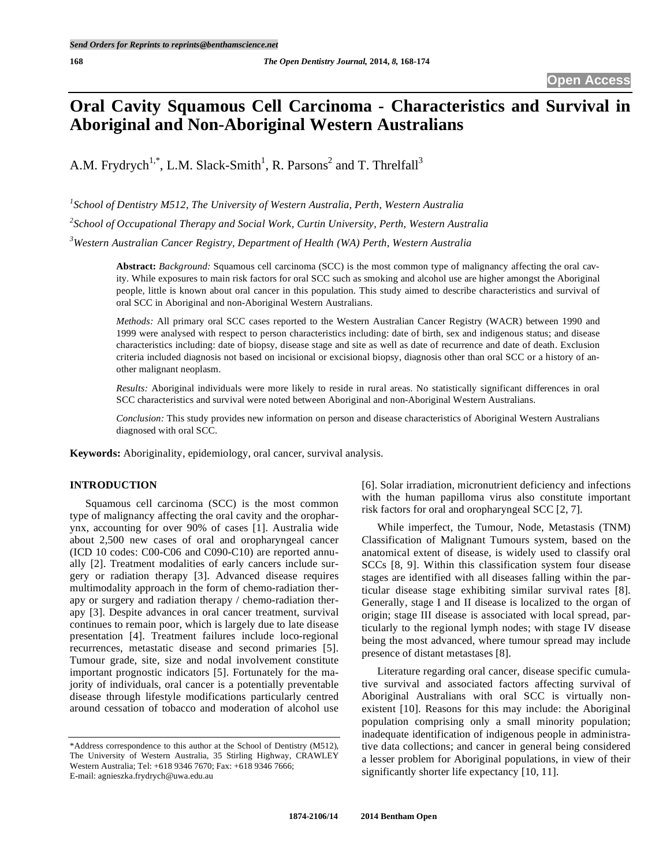# **Oral Cavity Squamous Cell Carcinoma - Characteristics and Survival in Aboriginal and Non-Aboriginal Western Australians**

A.M. Frydrych<sup>1,\*</sup>, L.M. Slack-Smith<sup>1</sup>, R. Parsons<sup>2</sup> and T. Threlfall<sup>3</sup>

*1 School of Dentistry M512, The University of Western Australia, Perth, Western Australia* 

*2 School of Occupational Therapy and Social Work, Curtin University, Perth, Western Australia* 

*3 Western Australian Cancer Registry, Department of Health (WA) Perth, Western Australia* 

**Abstract:** *Background:* Squamous cell carcinoma (SCC) is the most common type of malignancy affecting the oral cavity. While exposures to main risk factors for oral SCC such as smoking and alcohol use are higher amongst the Aboriginal people, little is known about oral cancer in this population. This study aimed to describe characteristics and survival of oral SCC in Aboriginal and non-Aboriginal Western Australians.

*Methods:* All primary oral SCC cases reported to the Western Australian Cancer Registry (WACR) between 1990 and 1999 were analysed with respect to person characteristics including: date of birth, sex and indigenous status; and disease characteristics including: date of biopsy, disease stage and site as well as date of recurrence and date of death. Exclusion criteria included diagnosis not based on incisional or excisional biopsy, diagnosis other than oral SCC or a history of another malignant neoplasm.

*Results:* Aboriginal individuals were more likely to reside in rural areas. No statistically significant differences in oral SCC characteristics and survival were noted between Aboriginal and non-Aboriginal Western Australians.

*Conclusion:* This study provides new information on person and disease characteristics of Aboriginal Western Australians diagnosed with oral SCC.

**Keywords:** Aboriginality, epidemiology, oral cancer, survival analysis.

# **INTRODUCTION**

Squamous cell carcinoma (SCC) is the most common type of malignancy affecting the oral cavity and the oropharynx, accounting for over 90% of cases [1]. Australia wide about 2,500 new cases of oral and oropharyngeal cancer (ICD 10 codes: C00-C06 and C090-C10) are reported annually [2]. Treatment modalities of early cancers include surgery or radiation therapy [3]. Advanced disease requires multimodality approach in the form of chemo-radiation therapy or surgery and radiation therapy / chemo-radiation therapy [3]. Despite advances in oral cancer treatment, survival continues to remain poor, which is largely due to late disease presentation [4]. Treatment failures include loco-regional recurrences, metastatic disease and second primaries [5]. Tumour grade, site, size and nodal involvement constitute important prognostic indicators [5]. Fortunately for the majority of individuals, oral cancer is a potentially preventable disease through lifestyle modifications particularly centred around cessation of tobacco and moderation of alcohol use

\*Address correspondence to this author at the School of Dentistry (M512), The University of Western Australia, 35 Stirling Highway, CRAWLEY Western Australia; Tel: +618 9346 7670; Fax: +618 9346 7666; E-mail: agnieszka.frydrych@uwa.edu.au

[6]. Solar irradiation, micronutrient deficiency and infections with the human papilloma virus also constitute important risk factors for oral and oropharyngeal SCC [2, 7].

While imperfect, the Tumour, Node, Metastasis (TNM) Classification of Malignant Tumours system, based on the anatomical extent of disease, is widely used to classify oral SCCs [8, 9]. Within this classification system four disease stages are identified with all diseases falling within the particular disease stage exhibiting similar survival rates [8]. Generally, stage I and II disease is localized to the organ of origin; stage III disease is associated with local spread, particularly to the regional lymph nodes; with stage IV disease being the most advanced, where tumour spread may include presence of distant metastases [8].

Literature regarding oral cancer, disease specific cumulative survival and associated factors affecting survival of Aboriginal Australians with oral SCC is virtually nonexistent [10]. Reasons for this may include: the Aboriginal population comprising only a small minority population; inadequate identification of indigenous people in administrative data collections; and cancer in general being considered a lesser problem for Aboriginal populations, in view of their significantly shorter life expectancy [10, 11].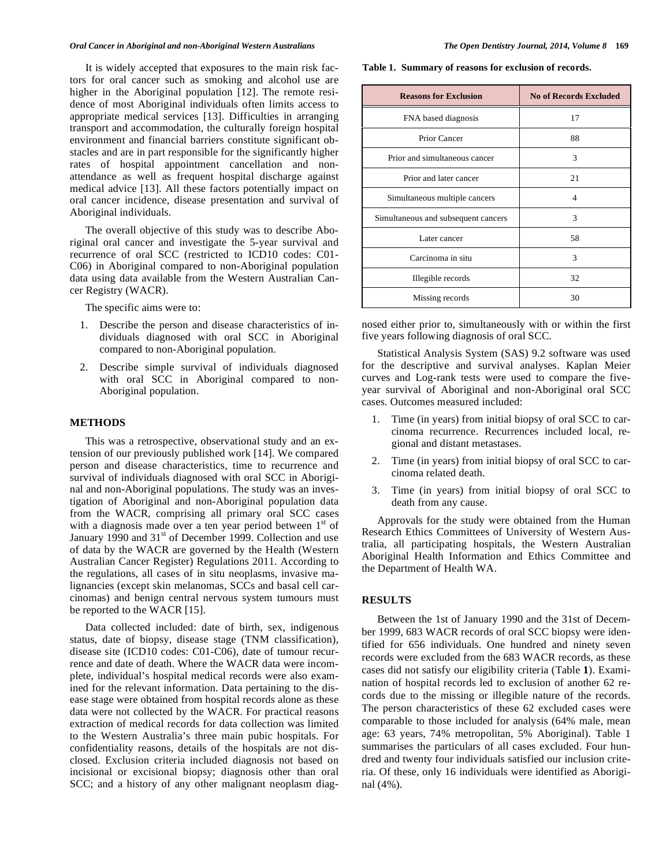## *Oral Cancer in Aboriginal and non-Aboriginal Western Australians The Open Dentistry Journal, 2014, Volume 8* **169**

It is widely accepted that exposures to the main risk factors for oral cancer such as smoking and alcohol use are higher in the Aboriginal population [12]. The remote residence of most Aboriginal individuals often limits access to appropriate medical services [13]. Difficulties in arranging transport and accommodation, the culturally foreign hospital environment and financial barriers constitute significant obstacles and are in part responsible for the significantly higher rates of hospital appointment cancellation and nonattendance as well as frequent hospital discharge against medical advice [13]. All these factors potentially impact on oral cancer incidence, disease presentation and survival of Aboriginal individuals.

The overall objective of this study was to describe Aboriginal oral cancer and investigate the 5-year survival and recurrence of oral SCC (restricted to ICD10 codes: C01- C06) in Aboriginal compared to non-Aboriginal population data using data available from the Western Australian Cancer Registry (WACR).

The specific aims were to:

- 1. Describe the person and disease characteristics of individuals diagnosed with oral SCC in Aboriginal compared to non-Aboriginal population.
- 2. Describe simple survival of individuals diagnosed with oral SCC in Aboriginal compared to non-Aboriginal population.

# **METHODS**

This was a retrospective, observational study and an extension of our previously published work [14]. We compared person and disease characteristics, time to recurrence and survival of individuals diagnosed with oral SCC in Aboriginal and non-Aboriginal populations. The study was an investigation of Aboriginal and non-Aboriginal population data from the WACR, comprising all primary oral SCC cases with a diagnosis made over a ten year period between  $1<sup>st</sup>$  of January 1990 and 31<sup>st</sup> of December 1999. Collection and use of data by the WACR are governed by the Health (Western Australian Cancer Register) Regulations 2011. According to the regulations, all cases of in situ neoplasms, invasive malignancies (except skin melanomas, SCCs and basal cell carcinomas) and benign central nervous system tumours must be reported to the WACR [15].

Data collected included: date of birth, sex, indigenous status, date of biopsy, disease stage (TNM classification), disease site (ICD10 codes: C01-C06), date of tumour recurrence and date of death. Where the WACR data were incomplete, individual's hospital medical records were also examined for the relevant information. Data pertaining to the disease stage were obtained from hospital records alone as these data were not collected by the WACR. For practical reasons extraction of medical records for data collection was limited to the Western Australia's three main pubic hospitals. For confidentiality reasons, details of the hospitals are not disclosed. Exclusion criteria included diagnosis not based on incisional or excisional biopsy; diagnosis other than oral SCC; and a history of any other malignant neoplasm diag**Table 1. Summary of reasons for exclusion of records.** 

| <b>Reasons for Exclusion</b>        | <b>No of Records Excluded</b> |  |  |
|-------------------------------------|-------------------------------|--|--|
| FNA based diagnosis                 | 17                            |  |  |
| Prior Cancer                        | 88                            |  |  |
| Prior and simultaneous cancer       | 3                             |  |  |
| Prior and later cancer              | 21                            |  |  |
| Simultaneous multiple cancers       | 4                             |  |  |
| Simultaneous and subsequent cancers | 3                             |  |  |
| Later cancer                        | 58                            |  |  |
| Carcinoma in situ                   | 3                             |  |  |
| Illegible records                   | 32                            |  |  |
| Missing records                     | 30                            |  |  |

nosed either prior to, simultaneously with or within the first five years following diagnosis of oral SCC.

Statistical Analysis System (SAS) 9.2 software was used for the descriptive and survival analyses. Kaplan Meier curves and Log-rank tests were used to compare the fiveyear survival of Aboriginal and non-Aboriginal oral SCC cases. Outcomes measured included:

- 1. Time (in years) from initial biopsy of oral SCC to carcinoma recurrence. Recurrences included local, regional and distant metastases.
- 2. Time (in years) from initial biopsy of oral SCC to carcinoma related death.
- 3. Time (in years) from initial biopsy of oral SCC to death from any cause.

Approvals for the study were obtained from the Human Research Ethics Committees of University of Western Australia, all participating hospitals, the Western Australian Aboriginal Health Information and Ethics Committee and the Department of Health WA.

## **RESULTS**

Between the 1st of January 1990 and the 31st of December 1999, 683 WACR records of oral SCC biopsy were identified for 656 individuals. One hundred and ninety seven records were excluded from the 683 WACR records, as these cases did not satisfy our eligibility criteria (Table **1**). Examination of hospital records led to exclusion of another 62 records due to the missing or illegible nature of the records. The person characteristics of these 62 excluded cases were comparable to those included for analysis (64% male, mean age: 63 years, 74% metropolitan, 5% Aboriginal). Table 1 summarises the particulars of all cases excluded. Four hundred and twenty four individuals satisfied our inclusion criteria. Of these, only 16 individuals were identified as Aboriginal (4%).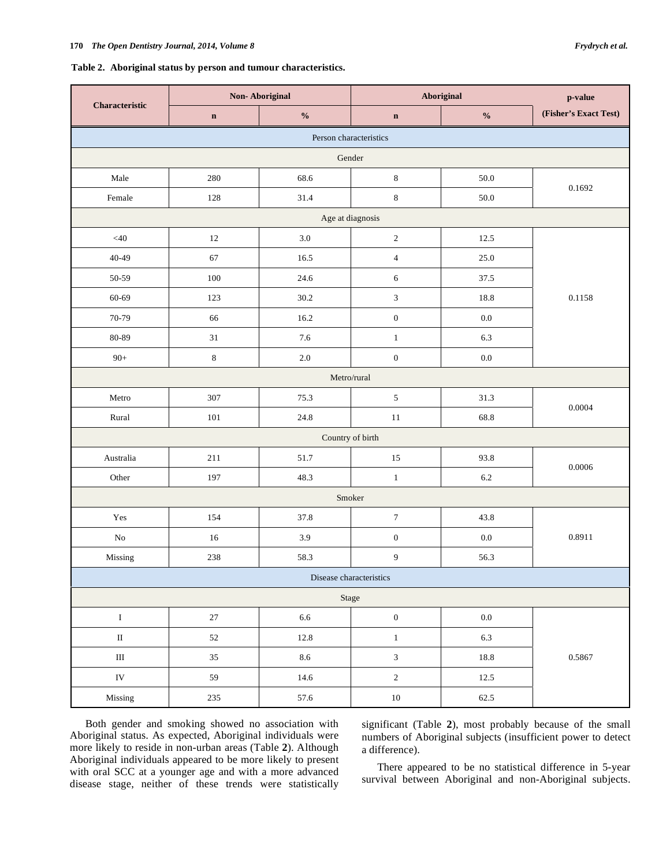### **Table 2. Aboriginal status by person and tumour characteristics.**

| Characteristic          | <b>Non-Aboriginal</b> |                                    | Aboriginal                  |                                    | p-value               |  |  |  |
|-------------------------|-----------------------|------------------------------------|-----------------------------|------------------------------------|-----------------------|--|--|--|
|                         | $\mathbf n$           | $\mathbf{0}_{\mathbf{0}}^{\prime}$ | $\mathbf n$                 | $\mathbf{0}_{\mathbf{0}}^{\prime}$ | (Fisher's Exact Test) |  |  |  |
| Person characteristics  |                       |                                    |                             |                                    |                       |  |  |  |
| Gender                  |                       |                                    |                             |                                    |                       |  |  |  |
| Male                    | 280                   | 68.6                               | $\,$ 8 $\,$                 | $50.0\,$                           | 0.1692                |  |  |  |
| Female                  | 128                   | 31.4                               | $\,8\,$                     | 50.0                               |                       |  |  |  |
|                         |                       | Age at diagnosis                   |                             |                                    |                       |  |  |  |
| $<\!\!40$               | 12                    | 3.0                                | $\sqrt{2}$                  | 12.5                               |                       |  |  |  |
| $40 - 49$               | 67                    | 16.5                               | $\overline{4}$              | 25.0                               |                       |  |  |  |
| 50-59                   | 100                   | 24.6                               | 6                           | 37.5                               |                       |  |  |  |
| 60-69                   | 123                   | 30.2                               | $\ensuremath{\mathfrak{Z}}$ | 18.8                               | 0.1158                |  |  |  |
| 70-79                   | 66                    | 16.2                               | $\boldsymbol{0}$            | $0.0\,$                            |                       |  |  |  |
| 80-89                   | $31\,$                | 7.6                                | $\mathbf{1}$                | 6.3                                |                       |  |  |  |
| $90+$                   | $\,8\,$               | $2.0\,$                            | $\boldsymbol{0}$            | $0.0\,$                            |                       |  |  |  |
| Metro/rural             |                       |                                    |                             |                                    |                       |  |  |  |
| Metro                   | 307                   | 75.3                               | $\sqrt{5}$                  | 31.3                               | 0.0004                |  |  |  |
| Rural                   | 101                   | 24.8                               | $11\,$                      | 68.8                               |                       |  |  |  |
| Country of birth        |                       |                                    |                             |                                    |                       |  |  |  |
| Australia               | 211                   | 51.7                               | 15                          | 93.8                               | 0.0006                |  |  |  |
| Other                   | 197                   | 48.3                               | $\mathbf{1}$                | 6.2                                |                       |  |  |  |
| Smoker                  |                       |                                    |                             |                                    |                       |  |  |  |
| Yes                     | 154                   | 37.8                               | $\boldsymbol{7}$            | 43.8                               | 0.8911                |  |  |  |
| $\rm No$                | 16                    | 3.9                                | $\boldsymbol{0}$            | $0.0\,$                            |                       |  |  |  |
| Missing                 | 238                   | 58.3                               | $\overline{9}$              | 56.3                               |                       |  |  |  |
| Disease characteristics |                       |                                    |                             |                                    |                       |  |  |  |
| Stage                   |                       |                                    |                             |                                    |                       |  |  |  |
| $\rm I$                 | $27\,$                | $6.6\,$                            | $\boldsymbol{0}$            | $0.0\,$                            | 0.5867                |  |  |  |
| $\rm II$                | $52\,$                | $12.8\,$                           | $\,1\,$                     | 6.3                                |                       |  |  |  |
| $\rm III$               | 35                    | 8.6                                | $\mathfrak{Z}$              | 18.8                               |                       |  |  |  |
| ${\rm IV}$              | 59                    | 14.6                               | $\sqrt{2}$                  | 12.5                               |                       |  |  |  |
| Missing                 | 235                   | 57.6                               | $10\,$                      | 62.5                               |                       |  |  |  |

Both gender and smoking showed no association with Aboriginal status. As expected, Aboriginal individuals were more likely to reside in non-urban areas (Table **2**). Although Aboriginal individuals appeared to be more likely to present with oral SCC at a younger age and with a more advanced disease stage, neither of these trends were statistically

significant (Table **2**), most probably because of the small numbers of Aboriginal subjects (insufficient power to detect a difference).

There appeared to be no statistical difference in 5-year survival between Aboriginal and non-Aboriginal subjects.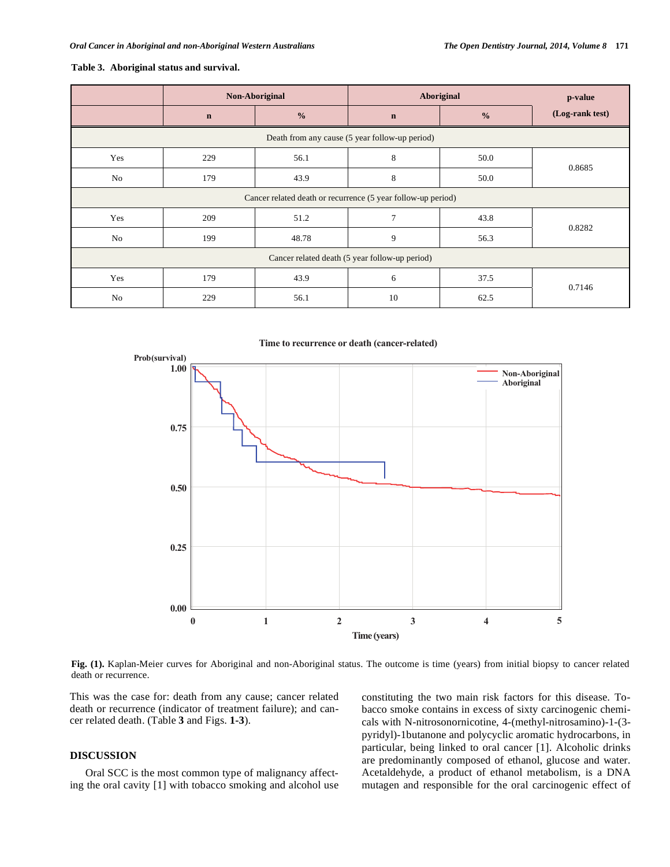## **Table 3. Aboriginal status and survival.**

|                                                              | Non-Aboriginal |               | Aboriginal  |               | p-value         |  |  |
|--------------------------------------------------------------|----------------|---------------|-------------|---------------|-----------------|--|--|
|                                                              | $\mathbf n$    | $\frac{0}{0}$ | $\mathbf n$ | $\frac{0}{0}$ | (Log-rank test) |  |  |
| Death from any cause (5 year follow-up period)               |                |               |             |               |                 |  |  |
| Yes                                                          | 229            | 56.1          | 8           | 50.0          | 0.8685          |  |  |
| No                                                           | 179            | 43.9          | 8           | 50.0          |                 |  |  |
| Cancer related death or recurrence (5 year follow-up period) |                |               |             |               |                 |  |  |
| Yes                                                          | 209            | 51.2          | 7           | 43.8          | 0.8282          |  |  |
| No                                                           | 199            | 48.78         | 9           | 56.3          |                 |  |  |
| Cancer related death (5 year follow-up period)               |                |               |             |               |                 |  |  |
| Yes                                                          | 179            | 43.9          | 6           | 37.5          | 0.7146          |  |  |
| No                                                           | 229            | 56.1          | 10          | 62.5          |                 |  |  |

Time to recurrence or death (cancer-related)



**Fig. (1).** Kaplan-Meier curves for Aboriginal and non-Aboriginal status. The outcome is time (years) from initial biopsy to cancer related death or recurrence.

This was the case for: death from any cause; cancer related death or recurrence (indicator of treatment failure); and cancer related death. (Table **3** and Figs. **1-3**).

# **DISCUSSION**

Oral SCC is the most common type of malignancy affecting the oral cavity [1] with tobacco smoking and alcohol use constituting the two main risk factors for this disease. Tobacco smoke contains in excess of sixty carcinogenic chemicals with N-nitrosonornicotine, 4-(methyl-nitrosamino)-1-(3 pyridyl)-1butanone and polycyclic aromatic hydrocarbons, in particular, being linked to oral cancer [1]. Alcoholic drinks are predominantly composed of ethanol, glucose and water. Acetaldehyde, a product of ethanol metabolism, is a DNA mutagen and responsible for the oral carcinogenic effect of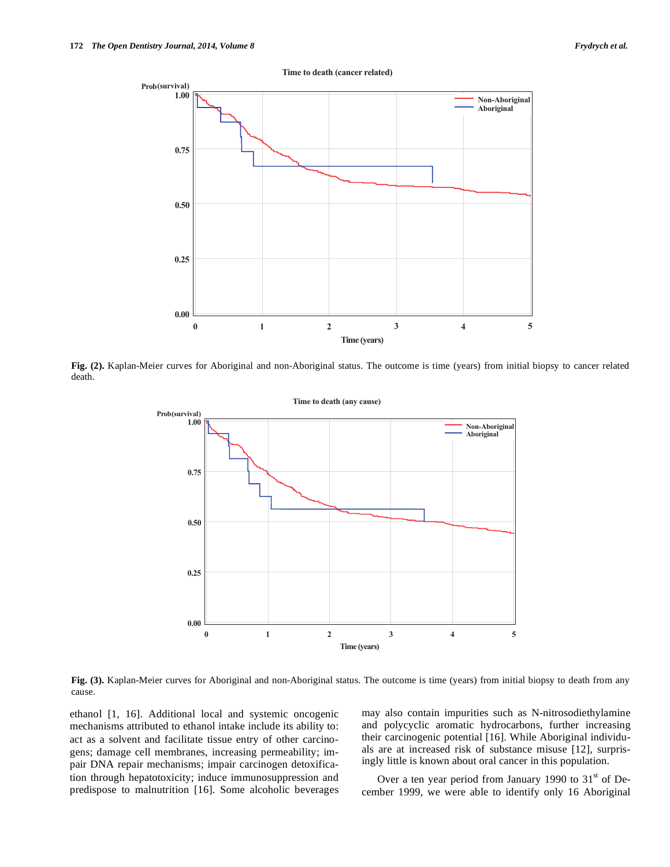

**Fig. (2).** Kaplan-Meier curves for Aboriginal and non-Aboriginal status. The outcome is time (years) from initial biopsy to cancer related death.



**Fig. (3).** Kaplan-Meier curves for Aboriginal and non-Aboriginal status. The outcome is time (years) from initial biopsy to death from any cause.

ethanol [1, 16]. Additional local and systemic oncogenic mechanisms attributed to ethanol intake include its ability to: act as a solvent and facilitate tissue entry of other carcinogens; damage cell membranes, increasing permeability; impair DNA repair mechanisms; impair carcinogen detoxification through hepatotoxicity; induce immunosuppression and predispose to malnutrition [16]. Some alcoholic beverages may also contain impurities such as N-nitrosodiethylamine and polycyclic aromatic hydrocarbons, further increasing their carcinogenic potential [16]. While Aboriginal individuals are at increased risk of substance misuse [12], surprisingly little is known about oral cancer in this population.

Over a ten year period from January 1990 to  $31<sup>st</sup>$  of December 1999, we were able to identify only 16 Aboriginal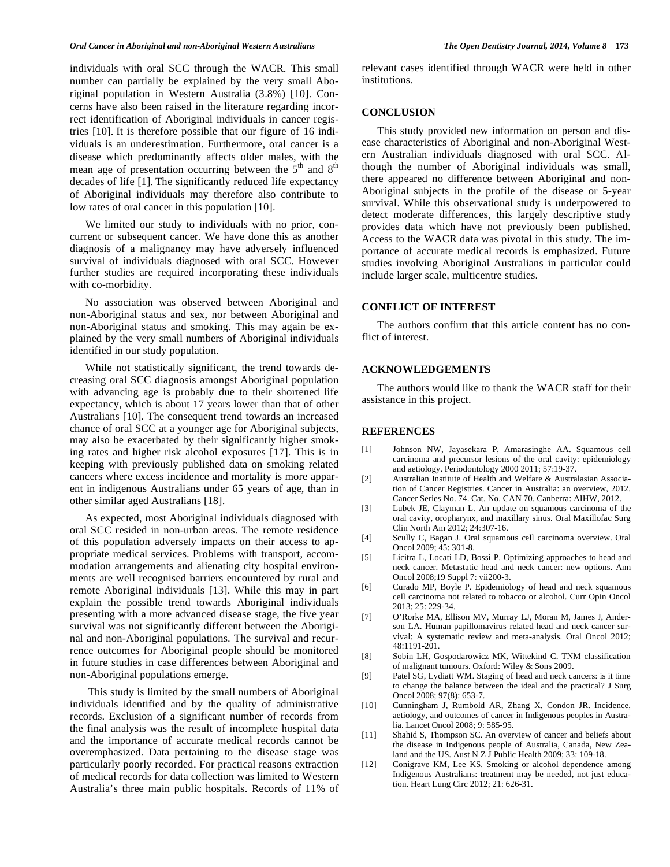individuals with oral SCC through the WACR. This small number can partially be explained by the very small Aboriginal population in Western Australia (3.8%) [10]. Concerns have also been raised in the literature regarding incorrect identification of Aboriginal individuals in cancer registries [10]. It is therefore possible that our figure of 16 individuals is an underestimation. Furthermore, oral cancer is a disease which predominantly affects older males, with the mean age of presentation occurring between the  $5<sup>th</sup>$  and  $8<sup>th</sup>$ decades of life [1]. The significantly reduced life expectancy of Aboriginal individuals may therefore also contribute to low rates of oral cancer in this population [10].

We limited our study to individuals with no prior, concurrent or subsequent cancer. We have done this as another diagnosis of a malignancy may have adversely influenced survival of individuals diagnosed with oral SCC. However further studies are required incorporating these individuals with co-morbidity.

No association was observed between Aboriginal and non-Aboriginal status and sex, nor between Aboriginal and non-Aboriginal status and smoking. This may again be explained by the very small numbers of Aboriginal individuals identified in our study population.

While not statistically significant, the trend towards decreasing oral SCC diagnosis amongst Aboriginal population with advancing age is probably due to their shortened life expectancy, which is about 17 years lower than that of other Australians [10]. The consequent trend towards an increased chance of oral SCC at a younger age for Aboriginal subjects, may also be exacerbated by their significantly higher smoking rates and higher risk alcohol exposures [17]. This is in keeping with previously published data on smoking related cancers where excess incidence and mortality is more apparent in indigenous Australians under 65 years of age, than in other similar aged Australians [18].

As expected, most Aboriginal individuals diagnosed with oral SCC resided in non-urban areas. The remote residence of this population adversely impacts on their access to appropriate medical services. Problems with transport, accommodation arrangements and alienating city hospital environments are well recognised barriers encountered by rural and remote Aboriginal individuals [13]. While this may in part explain the possible trend towards Aboriginal individuals presenting with a more advanced disease stage, the five year survival was not significantly different between the Aboriginal and non-Aboriginal populations. The survival and recurrence outcomes for Aboriginal people should be monitored in future studies in case differences between Aboriginal and non-Aboriginal populations emerge.

 This study is limited by the small numbers of Aboriginal individuals identified and by the quality of administrative records. Exclusion of a significant number of records from the final analysis was the result of incomplete hospital data and the importance of accurate medical records cannot be overemphasized. Data pertaining to the disease stage was particularly poorly recorded. For practical reasons extraction of medical records for data collection was limited to Western Australia's three main public hospitals. Records of 11% of relevant cases identified through WACR were held in other institutions.

#### **CONCLUSION**

This study provided new information on person and disease characteristics of Aboriginal and non-Aboriginal Western Australian individuals diagnosed with oral SCC. Although the number of Aboriginal individuals was small, there appeared no difference between Aboriginal and non-Aboriginal subjects in the profile of the disease or 5-year survival. While this observational study is underpowered to detect moderate differences, this largely descriptive study provides data which have not previously been published. Access to the WACR data was pivotal in this study. The importance of accurate medical records is emphasized. Future studies involving Aboriginal Australians in particular could include larger scale, multicentre studies.

# **CONFLICT OF INTEREST**

The authors confirm that this article content has no conflict of interest.

#### **ACKNOWLEDGEMENTS**

The authors would like to thank the WACR staff for their assistance in this project.

## **REFERENCES**

- [1] Johnson NW, Jayasekara P, Amarasinghe AA. Squamous cell carcinoma and precursor lesions of the oral cavity: epidemiology and aetiology. Periodontology 2000 2011; 57:19-37.
- [2] Australian Institute of Health and Welfare & Australasian Association of Cancer Registries. Cancer in Australia: an overview, 2012. Cancer Series No. 74. Cat. No. CAN 70. Canberra: AIHW, 2012.
- [3] Lubek JE, Clayman L. An update on squamous carcinoma of the oral cavity, oropharynx, and maxillary sinus. Oral Maxillofac Surg Clin North Am 2012; 24:307-16.
- [4] Scully C, Bagan J. Oral squamous cell carcinoma overview. Oral Oncol 2009; 45: 301-8.
- [5] Licitra L, Locati LD, Bossi P. Optimizing approaches to head and neck cancer. Metastatic head and neck cancer: new options. Ann Oncol 2008;19 Suppl 7: vii200-3.
- [6] Curado MP, Boyle P. Epidemiology of head and neck squamous cell carcinoma not related to tobacco or alcohol. Curr Opin Oncol 2013; 25: 229-34.
- [7] O'Rorke MA, Ellison MV, Murray LJ, Moran M, James J, Anderson LA. Human papillomavirus related head and neck cancer survival: A systematic review and meta-analysis. Oral Oncol 2012; 48:1191-201.
- [8] Sobin LH, Gospodarowicz MK, Wittekind C. TNM classification of malignant tumours. Oxford: Wiley & Sons 2009.
- [9] Patel SG, Lydiatt WM. Staging of head and neck cancers: is it time to change the balance between the ideal and the practical? J Surg Oncol 2008; 97(8): 653-7.
- [10] Cunningham J, Rumbold AR, Zhang X, Condon JR. Incidence, aetiology, and outcomes of cancer in Indigenous peoples in Australia. Lancet Oncol 2008; 9: 585-95.
- [11] Shahid S, Thompson SC. An overview of cancer and beliefs about the disease in Indigenous people of Australia, Canada, New Zealand and the US. Aust N Z J Public Health 2009; 33: 109-18.
- [12] Conigrave KM, Lee KS. Smoking or alcohol dependence among Indigenous Australians: treatment may be needed, not just education. Heart Lung Circ 2012; 21: 626-31.